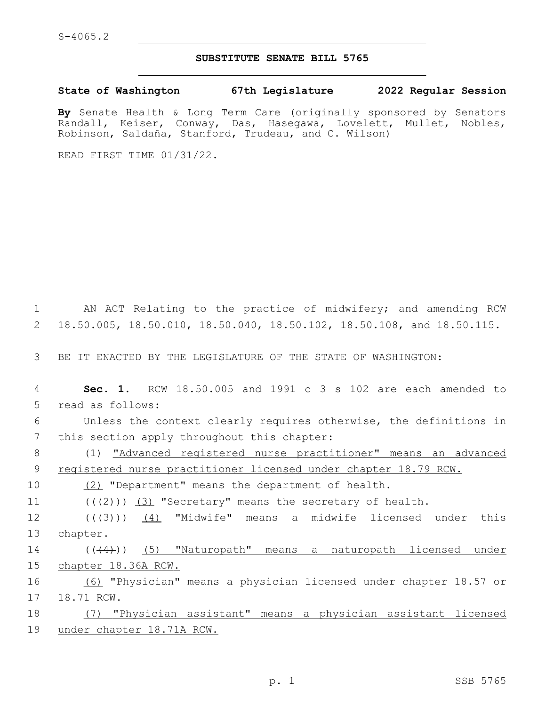## **SUBSTITUTE SENATE BILL 5765**

**State of Washington 67th Legislature 2022 Regular Session**

**By** Senate Health & Long Term Care (originally sponsored by Senators Randall, Keiser, Conway, Das, Hasegawa, Lovelett, Mullet, Nobles, Robinson, Saldaña, Stanford, Trudeau, and C. Wilson)

READ FIRST TIME 01/31/22.

1 AN ACT Relating to the practice of midwifery; and amending RCW 2 18.50.005, 18.50.010, 18.50.040, 18.50.102, 18.50.108, and 18.50.115.

3 BE IT ENACTED BY THE LEGISLATURE OF THE STATE OF WASHINGTON:

4 **Sec. 1.** RCW 18.50.005 and 1991 c 3 s 102 are each amended to 5 read as follows:

6 Unless the context clearly requires otherwise, the definitions in 7 this section apply throughout this chapter:

8 (1) "Advanced registered nurse practitioner" means an advanced 9 registered nurse practitioner licensed under chapter 18.79 RCW.

10 (2) "Department" means the department of health.

11  $((\langle 2 \rangle)(3)$  "Secretary" means the secretary of health.

12 ((<del>(3)</del>)) <u>(4)</u> "Midwife" means a midwife licensed under this 13 chapter.

14 (((4)) (5) "Naturopath" means a naturopath licensed under 15 chapter 18.36A RCW.

16 (6) "Physician" means a physician licensed under chapter 18.57 or 17 18.71 RCW.

18 (7) "Physician assistant" means a physician assistant licensed 19 under chapter 18.71A RCW.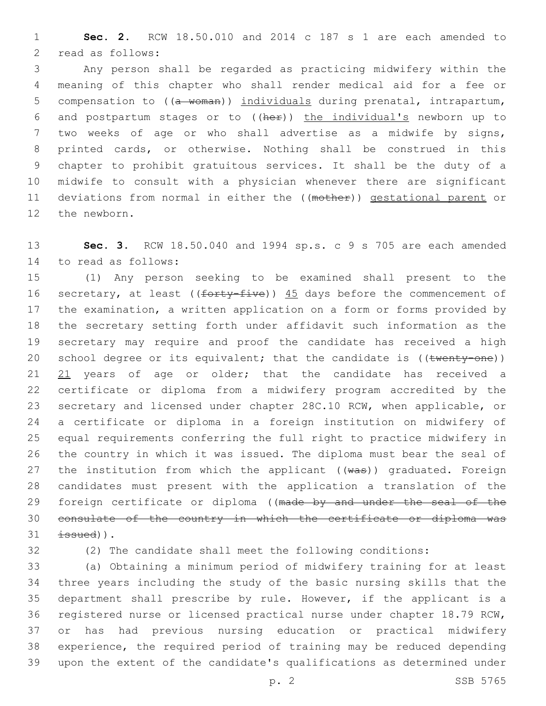**Sec. 2.** RCW 18.50.010 and 2014 c 187 s 1 are each amended to 2 read as follows:

 Any person shall be regarded as practicing midwifery within the meaning of this chapter who shall render medical aid for a fee or 5 compensation to ((a woman)) individuals during prenatal, intrapartum, and postpartum stages or to ((her)) the individual's newborn up to two weeks of age or who shall advertise as a midwife by signs, printed cards, or otherwise. Nothing shall be construed in this chapter to prohibit gratuitous services. It shall be the duty of a midwife to consult with a physician whenever there are significant 11 deviations from normal in either the ((mother)) gestational parent or 12 the newborn.

 **Sec. 3.** RCW 18.50.040 and 1994 sp.s. c 9 s 705 are each amended 14 to read as follows:

 (1) Any person seeking to be examined shall present to the 16 secretary, at least ((forty-five)) 45 days before the commencement of the examination, a written application on a form or forms provided by the secretary setting forth under affidavit such information as the secretary may require and proof the candidate has received a high 20 school degree or its equivalent; that the candidate is ((twenty-one)) 21 years of age or older; that the candidate has received a certificate or diploma from a midwifery program accredited by the secretary and licensed under chapter 28C.10 RCW, when applicable, or a certificate or diploma in a foreign institution on midwifery of equal requirements conferring the full right to practice midwifery in the country in which it was issued. The diploma must bear the seal of 27 the institution from which the applicant ((was)) graduated. Foreign candidates must present with the application a translation of the 29 foreign certificate or diploma ((made by and under the seal of the consulate of the country in which the certificate or diploma was  $\pm$ ssued)).

(2) The candidate shall meet the following conditions:

 (a) Obtaining a minimum period of midwifery training for at least three years including the study of the basic nursing skills that the department shall prescribe by rule. However, if the applicant is a registered nurse or licensed practical nurse under chapter 18.79 RCW, or has had previous nursing education or practical midwifery experience, the required period of training may be reduced depending upon the extent of the candidate's qualifications as determined under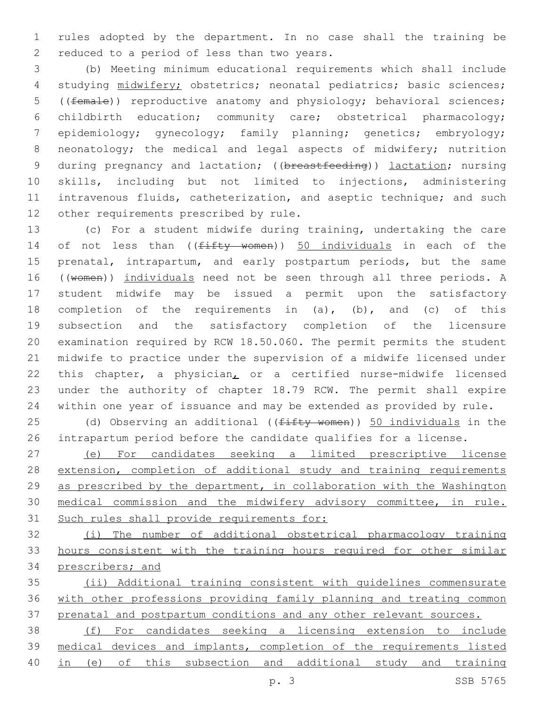rules adopted by the department. In no case shall the training be 2 reduced to a period of less than two years.

 (b) Meeting minimum educational requirements which shall include studying midwifery; obstetrics; neonatal pediatrics; basic sciences; ((female)) reproductive anatomy and physiology; behavioral sciences; childbirth education; community care; obstetrical pharmacology; epidemiology; gynecology; family planning; genetics; embryology; 8 neonatology; the medical and legal aspects of midwifery; nutrition 9 during pregnancy and lactation; ((breastfeeding)) lactation; nursing skills, including but not limited to injections, administering intravenous fluids, catheterization, and aseptic technique; and such 12 other requirements prescribed by rule.

 (c) For a student midwife during training, undertaking the care 14 of not less than ((fifty women)) 50 individuals in each of the prenatal, intrapartum, and early postpartum periods, but the same 16 ((women)) individuals need not be seen through all three periods. A student midwife may be issued a permit upon the satisfactory completion of the requirements in (a), (b), and (c) of this subsection and the satisfactory completion of the licensure examination required by RCW 18.50.060. The permit permits the student midwife to practice under the supervision of a midwife licensed under this chapter, a physician, or a certified nurse-midwife licensed under the authority of chapter 18.79 RCW. The permit shall expire within one year of issuance and may be extended as provided by rule.

25 (d) Observing an additional ((fifty women)) 50 individuals in the intrapartum period before the candidate qualifies for a license.

 (e) For candidates seeking a limited prescriptive license extension, completion of additional study and training requirements 29 as prescribed by the department, in collaboration with the Washington medical commission and the midwifery advisory committee, in rule. Such rules shall provide requirements for:

 (i) The number of additional obstetrical pharmacology training hours consistent with the training hours required for other similar prescribers; and

 (ii) Additional training consistent with guidelines commensurate with other professions providing family planning and treating common 37 prenatal and postpartum conditions and any other relevant sources.

 (f) For candidates seeking a licensing extension to include medical devices and implants, completion of the requirements listed in (e) of this subsection and additional study and training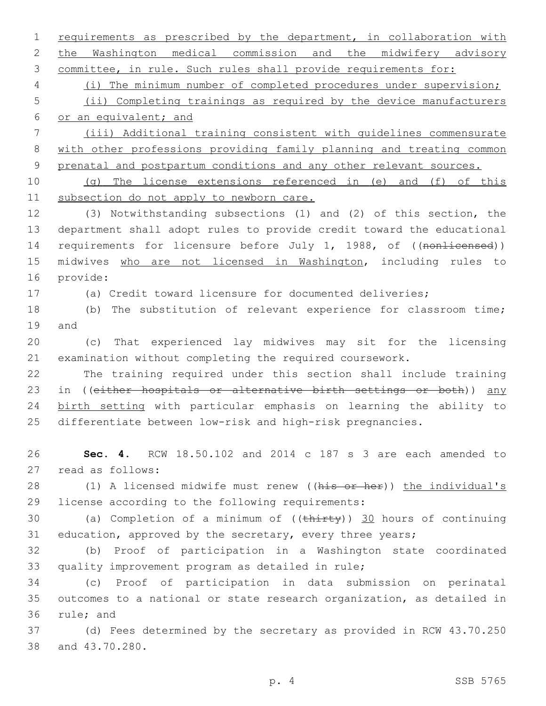2 the Washington medical commission and the midwifery advisory 3 committee, in rule. Such rules shall provide requirements for: 4 (i) The minimum number of completed procedures under supervision; 5 (ii) Completing trainings as required by the device manufacturers 6 or an equivalent; and 7 (iii) Additional training consistent with guidelines commensurate 8 with other professions providing family planning and treating common 9 prenatal and postpartum conditions and any other relevant sources. 10 (g) The license extensions referenced in (e) and (f) of this 11 subsection do not apply to newborn care. 12 (3) Notwithstanding subsections (1) and (2) of this section, the 13 department shall adopt rules to provide credit toward the educational 14 requirements for licensure before July 1, 1988, of ((nonlicensed)) 15 midwives who are not licensed in Washington, including rules to 16 provide: 17 (a) Credit toward licensure for documented deliveries; 18 (b) The substitution of relevant experience for classroom time; 19 and 20 (c) That experienced lay midwives may sit for the licensing 21 examination without completing the required coursework. 22 The training required under this section shall include training 23 in ((either hospitals or alternative birth settings or both)) any 24 birth setting with particular emphasis on learning the ability to 25 differentiate between low-risk and high-risk pregnancies. 26 **Sec. 4.** RCW 18.50.102 and 2014 c 187 s 3 are each amended to 27 read as follows: 28 (1) A licensed midwife must renew ((his or her)) the individual's 29 license according to the following requirements: 30 (a) Completion of a minimum of  $((\text{thirty}))$  30 hours of continuing 31 education, approved by the secretary, every three years; 32 (b) Proof of participation in a Washington state coordinated 33 quality improvement program as detailed in rule; 34 (c) Proof of participation in data submission on perinatal 35 outcomes to a national or state research organization, as detailed in 36 rule; and 37 (d) Fees determined by the secretary as provided in RCW 43.70.250 38 and 43.70.280. p. 4 SSB 5765

1 requirements as prescribed by the department, in collaboration with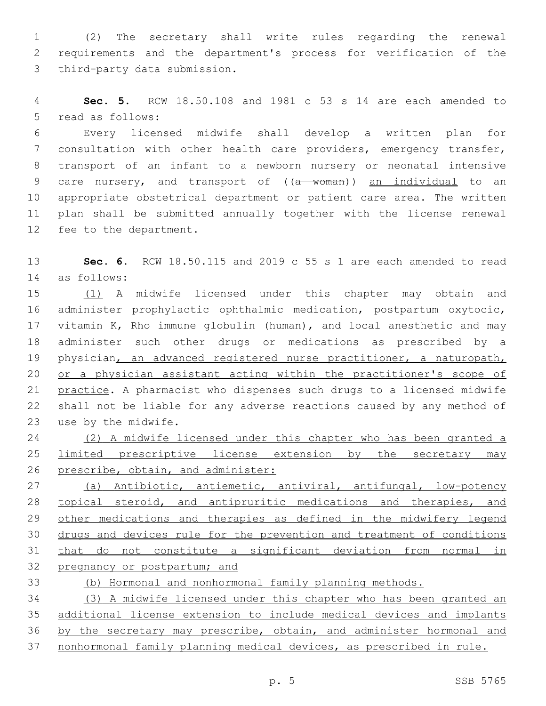(2) The secretary shall write rules regarding the renewal requirements and the department's process for verification of the 3 third-party data submission.

 **Sec. 5.** RCW 18.50.108 and 1981 c 53 s 14 are each amended to 5 read as follows:

 Every licensed midwife shall develop a written plan for consultation with other health care providers, emergency transfer, transport of an infant to a newborn nursery or neonatal intensive 9 care nursery, and transport of ((a woman)) an individual to an appropriate obstetrical department or patient care area. The written plan shall be submitted annually together with the license renewal 12 fee to the department.

 **Sec. 6.** RCW 18.50.115 and 2019 c 55 s 1 are each amended to read as follows:14

 (1) A midwife licensed under this chapter may obtain and administer prophylactic ophthalmic medication, postpartum oxytocic, vitamin K, Rho immune globulin (human), and local anesthetic and may administer such other drugs or medications as prescribed by a 19 physician, an advanced registered nurse practitioner, a naturopath, or a physician assistant acting within the practitioner's scope of practice. A pharmacist who dispenses such drugs to a licensed midwife shall not be liable for any adverse reactions caused by any method of 23 use by the midwife.

 (2) A midwife licensed under this chapter who has been granted a limited prescriptive license extension by the secretary may 26 prescribe, obtain, and administer:

 (a) Antibiotic, antiemetic, antiviral, antifungal, low-potency 28 topical steroid, and antipruritic medications and therapies, and 29 other medications and therapies as defined in the midwifery legend drugs and devices rule for the prevention and treatment of conditions that do not constitute a significant deviation from normal in 32 pregnancy or postpartum; and

(b) Hormonal and nonhormonal family planning methods.

 (3) A midwife licensed under this chapter who has been granted an additional license extension to include medical devices and implants 36 by the secretary may prescribe, obtain, and administer hormonal and nonhormonal family planning medical devices, as prescribed in rule.